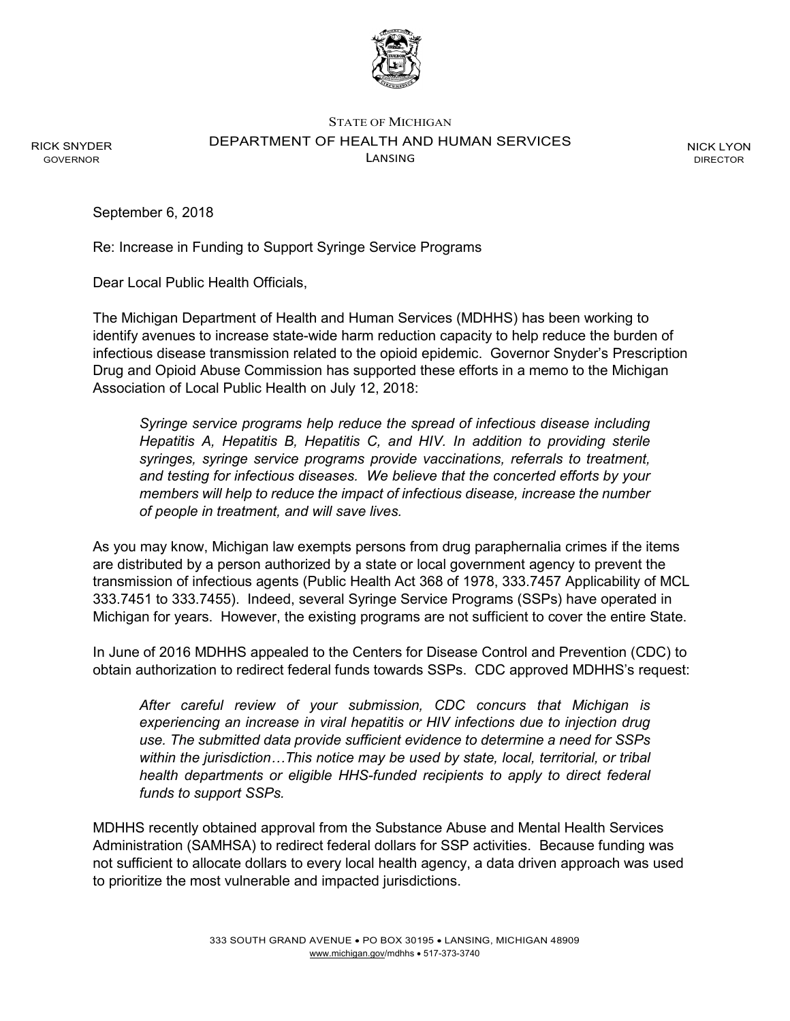

STATE OF MICHIGAN DEPARTMENT OF HEALTH AND HUMAN SERVICES LANSING

NICK LYON DIRECTOR

September 6, 2018

RICK SNYDER GOVERNOR

Re: Increase in Funding to Support Syringe Service Programs

Dear Local Public Health Officials,

The Michigan Department of Health and Human Services (MDHHS) has been working to identify avenues to increase state-wide harm reduction capacity to help reduce the burden of infectious disease transmission related to the opioid epidemic. Governor Snyder's Prescription Drug and Opioid Abuse Commission has supported these efforts in a memo to the Michigan Association of Local Public Health on July 12, 2018:

*Syringe service programs help reduce the spread of infectious disease including Hepatitis A, Hepatitis B, Hepatitis C, and HIV. In addition to providing sterile syringes, syringe service programs provide vaccinations, referrals to treatment, and testing for infectious diseases. We believe that the concerted efforts by your members will help to reduce the impact of infectious disease, increase the number of people in treatment, and will save lives.*

As you may know, Michigan law exempts persons from drug paraphernalia crimes if the items are distributed by a person authorized by a state or local government agency to prevent the transmission of infectious agents (Public Health Act 368 of 1978, 333.7457 Applicability of MCL 333.7451 to 333.7455). Indeed, several Syringe Service Programs (SSPs) have operated in Michigan for years. However, the existing programs are not sufficient to cover the entire State.

In June of 2016 MDHHS appealed to the Centers for Disease Control and Prevention (CDC) to obtain authorization to redirect federal funds towards SSPs. CDC approved MDHHS's request:

*After careful review of your submission, CDC concurs that Michigan is experiencing an increase in viral hepatitis or HIV infections due to injection drug use. The submitted data provide sufficient evidence to determine a need for SSPs within the jurisdiction…This notice may be used by state, local, territorial, or tribal health departments or eligible HHS-funded recipients to apply to direct federal funds to support SSPs.*

MDHHS recently obtained approval from the Substance Abuse and Mental Health Services Administration (SAMHSA) to redirect federal dollars for SSP activities. Because funding was not sufficient to allocate dollars to every local health agency, a data driven approach was used to prioritize the most vulnerable and impacted jurisdictions.